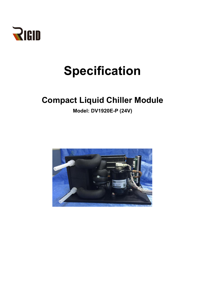

# **Specification**

## **Compact Liquid Chiller Module**

**Model: DV1920E-P (24V)**

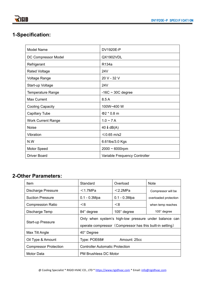## **1-Specification:**

| <b>Model Name</b>         | DV1920E-P                     |  |
|---------------------------|-------------------------------|--|
| DC Compressor Model       | QX1902VDL                     |  |
| Refrigerant               | R134a                         |  |
| <b>Rated Voltage</b>      | 24V                           |  |
| <b>Voltage Range</b>      | 20 V - 32 V                   |  |
| Start-up Voltage          | 24V                           |  |
| <b>Temperature Range</b>  | $-16C \sim 30C$ degree        |  |
| Max Current               | 8.5 A                         |  |
| <b>Cooling Capacity</b>   | 100W~400 W                    |  |
| <b>Capillary Tube</b>     | $\Phi$ 2 * 0.8 m              |  |
| <b>Work Current Range</b> | $1.0 - 7A$                    |  |
| <b>Noise</b>              | $40 \downarrow$ dB(A)         |  |
| Vibration                 | $≤0.65$ m/s2                  |  |
| N.W                       | 6.61lbs/3.0 Kgs               |  |
| Motor Speed               | $2000 \sim 6000$ rpm          |  |
| <b>Driver Board</b>       | Variable Frequency Controller |  |

## **2-Other Parameters:**

| Item                         | Standard                                                                                                            | Overload       | <b>Note</b>           |  |  |
|------------------------------|---------------------------------------------------------------------------------------------------------------------|----------------|-----------------------|--|--|
| Discharge Pressure           | $<$ 1.7MPa                                                                                                          | $<$ 2.2MPa     | Compressor will be    |  |  |
| <b>Suction Pressure</b>      | $0.1 - 0.3Mpa$                                                                                                      | $0.1 - 0.3Mpa$ | overloaded protection |  |  |
| <b>Compression Ratio</b>     | $<$ 6                                                                                                               | < 8            | when temp reaches     |  |  |
| Discharge Temp               | 84° degree                                                                                                          | 105° degree    | $105^\circ$ degree    |  |  |
| <b>Start-up Pressure</b>     | Only when system's high-low pressure under balance can<br>operate compressor (Compressor has this built-in setting) |                |                       |  |  |
| Max Tilt Angle               | 40° Degree                                                                                                          |                |                       |  |  |
| Oil Type & Amount            | Type: POE68#                                                                                                        | Amount: 25cc   |                       |  |  |
| <b>Compressor Protection</b> | <b>Controller Automatic Protection</b>                                                                              |                |                       |  |  |
| Motor Data                   | <b>PM Brushless DC Motor</b>                                                                                        |                |                       |  |  |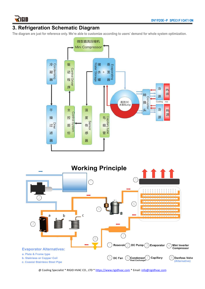

### **3. Refrigeration Schematic Diagram**

The diagram are just for reference only. We're able to customize according to users' demand for whole system optimization.



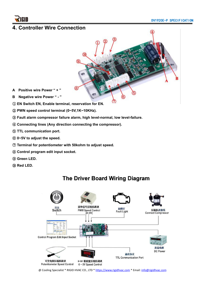

#### **4. Controller Wire Connection**



- **A Positive wire Power " + "**
- **B Negative wire Power " - "**
- **EN Switch EN, Enable terminal, reservation for EN.**
- **PWN speed control terminal (0~5V,1K~10KHz).**
- **Fault alarm compressor failure alarm, high level-normal, low level-failure.**
- **Connecting lines (Any direction connecting the compressor).**
- **TTL communication port.**
- **0~5V to adjust the speed.**
- **Terminal for potentiometer with 50kohm to adjust speed.**
- **Control program edit input socket.**
- **Green LED.**
- **Red LED.**

## The Driver Board Wiring Diagram



@ Cooling Specialist \* RIGID HVAC CO., LTD \* <https://www.rigidhvac.com> \* Email: [info@rigidhvac.com](mailto:info@rigidhvac.com)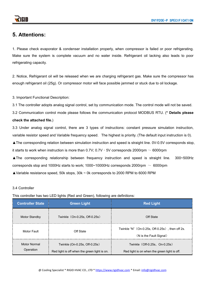#### **5. Attentions:**

1. Please check evaporator & condenser installation properly, when compressor is failed or poor refrigerating. Make sure the system is complete vacuum and no water inside. Refrigerant oil lacking also leads to poor refrigerating capacity.

2. Notice, Refrigerant oil will be released when we are charging refrigerant gas. Make sure the compressor has enough refrigerant oil (25g). Or compressor motor will face possible jammed or stuck due to oil lockage.<br>3. Important Functional Description:

3.1 The controller adopts analog signal control, set by communication mode. The control mode will not be saved.

3.2 Communication control mode please follows the communication protocol MODBUS RTU. (**\* Details please**

#### **check the attached file.**)

3.3 Under analog signal control, there are 3 types of instructions: constant pressure simulation instruction, variable resistor speed and Variable frequency speed. The highest is priority. (The default input instruction is 0).

▲The corresponding relation between simulation instruction and speed is straight line. 0V-0.5V corresponds stop,

it starts to work when instruction is more than  $0.7V$ ;  $0.7V - 5V$  corresponds 2000rpm  $\sim 6000$ rpm

▲The corresponding relationship between frequency instruction and speed is straight line. 300~500Hz corresponds stop and 1000Hz starts to work; 1000~10000Hz corresponds 2000rpm  $\sim 6000$ rpm

▲Variable resistance speed, 50k stops, 30k ~ 0k corresponds to 2000 RPM to 6000 RPM

#### 3.4 Controller

This controller has two LED lights (Red and Green), following are definitions:

| <b>Controller State</b>          | <b>Green Light</b>                                                            | <b>Red Light</b>                                                              |  |
|----------------------------------|-------------------------------------------------------------------------------|-------------------------------------------------------------------------------|--|
| <b>Motor Standby</b>             | Twinkle (On-0.25s, Off-0.25s)                                                 | Off State                                                                     |  |
| Motor Fault                      | Off State                                                                     | Twinkle "N" (On-0.25s, Off-0.25s), then off 2s.<br>(N is the Fault Signal)    |  |
| <b>Motor Normal</b><br>Operation | Twinkle (On-0.25s, Off-0.25s)<br>Red light is off when the green light is on. | Twinkle (Off-0.25s, On-0.25s)<br>Red light is on when the green light is off. |  |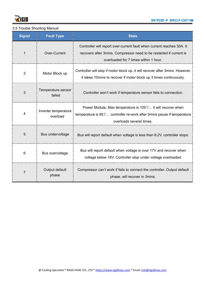

#### 3.5 Trouble Shooting Manual

| <b>Signal</b>  | <b>Fault Type</b>                | <b>State</b>                                                                                                                                                                            |  |
|----------------|----------------------------------|-----------------------------------------------------------------------------------------------------------------------------------------------------------------------------------------|--|
|                | Over-Current                     | Controller will report over-current fault when current reaches 30A. It<br>recovers after 3mins. Compressor need to be restarted if current is<br>overloaded for 7 times within 1 hour.  |  |
| $\overline{2}$ | Motor Block up                   | Controller will stop if motor block up, it will recover after 3mins. However,<br>it takes 10 mins to recover if motor block up 3 times continuously.                                    |  |
| 3              | Temperature sensor<br>failed     | Controller won't work if temperature sensor fails to connection.                                                                                                                        |  |
| 4              | Inverter temperature<br>overload | Power Module, Max temperature is $105^{\circ}$ C, it will recover when<br>temperature is $85^{\circ}$ C, controller re-work after 3mins pause if temperature<br>overloads several times |  |
| 5              | Bus undervoltage                 | Bus will report default when voltage is less than 8.2V, controller stops.                                                                                                               |  |
| 6              | Bus overvoltage                  | Bus will report default when voltage is over 17V and recover when<br>voltage below 16V. Controller stop under voltage overloaded.                                                       |  |
| $\overline{7}$ | Output default<br>phase          | Compressor can't work if fails to connect the controller. Output default<br>phase, will recover in 3mins.                                                                               |  |